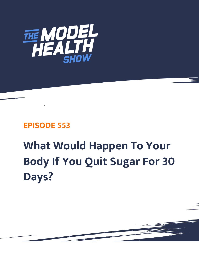

## **EPISODE 553**

## **What Would Happen To Your Body If You Quit Sugar For 30 Days?**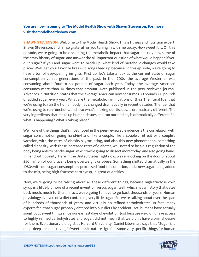## **You are now listening to The Model Health Show with Shawn Stevenson. For more, visit themodelhealthshow.com.**

**SHAWN STEVENSON:** Welcome to The Model Health Show. This is fitness and nutrition expert, Shawn Stevenson, and I'm so grateful for you tuning in with me today. How sweet it is. On this episode, we're going to be dissecting the metabolic impact that sugar actually has, some of the crazy history of sugar, and answer the all-important question of what would happen if you quit sugar? If you and sugar were to break up, what kind of metabolic changes would take place? Well, get your favorite break-up songs teed up because, in this episode, we're going to have a ton of eye-opening insights. First up, let's take a look at the current state of sugar consumption versus generations of the past. In the 1700s, the average Westerner was consuming about four to six pounds of sugar each year. Today, the average American consumes more than 10 times that amount. Data published in the peer-reviewed journal, Advances in Nutrition, states that the average American now consumes 80 pounds, 80 pounds of added sugar every year. What are the metabolic ramifications of this? The literal fuel that we're using to run the human body has changed dramatically in recent decades. The fuel that we're using to run functions, and also what's making our tissues, is dramatically different. The very ingredients that make up human tissues and run our bodies, is dramatically different. So, what is happening? What's taking place?

Well, one of the things that's most noted in the peer-reviewed evidence is the correlation with sugar consumption going hand-in-hand, like a couple, like a couple's retreat or a couple's vacation, with the rates of obesity skyrocketing, and also this new phenomenon, something called diabesity, with these increased rates of diabetes, well noted to be a dis-regulation of the body being able to handle sugar, which we're going to dissect more today, and also going handin-hand with obesity. Here in the United States right now, we're knocking on the door of about 250 million of our citizens being overweight or obese. Something shifted dramatically in the 1980s with our sugar consumption, processed food consumption, and a new sugar being added to the mix, being high-fructose corn syrup, in great quantities.

Now, we're going to be talking about all these different things, because high-fructose corn syrup is a little bit more of a recent invention versus sugar itself, which has a history that dates back much, much further. In fact, we're going to have to go back thousands of years. Human physiology evolved on a diet containing very little sugar. So, we're talking about over the span of hundreds of thousands of years, and virtually no refined carbohydrates. In fact, many experts feel that sugar probably entered into our diets by accident. Yet, humans have actually sought out sweet things since our earliest days of evolution. Just because we didn't have access to highly refined carbohydrates and sugar, did not mean that we didn't have a primal desire for them. Evolutionary biologist at Harvard University, Daniel Liberman, says that "Sugar is a [deep, deep ancient craving." Sweetness in nature signified some very specific things for human](https://themodelhealthshow.com/quit-sugar/) 

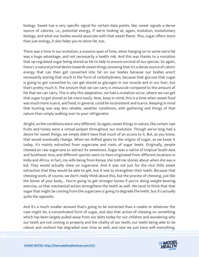biology. Sweet has a very specific signal for certain data points, like, sweet signals a dense source of calories, i.e., potential energy, if we're looking at, again, evolution, evolutionary biology, and what our bodies would associate with that sweet flavor. Plus, sugar offers more than just energy, it also helps you to store fat, too.

There was a time in our evolution, a massive span of time, when hanging on to some extra fat was a huge advantage, and not necessarily a health risk. And this was thanks to a mutation that up-regulated sugar being stored as fat to help to ensure survival of our species. So again, there's a natural primal desire towards sweet things, knowing that it's a dense source of caloric energy that can then get converted into fat on our bodies because our bodies aren't necessarily storing that much in the form of carbohydrates, because that glucose that sugar is going to get converted to, can get stored as glycogen in our muscle and in our liver, but that's pretty much it. The amount that we can carry is minuscule compared to the amount of fat that we can carry. This is why this adaptation, we had a mutation occur, where we can get that sugar to get stored as fat more easily. Now, keep in mind, this is a time when sweet food was much more scarce, and food, in general, could be inconsistent and scarce. Keeping in mind that hunting was way less reliable, weather conditions, with gathering and things of that nature than simply walking over to your refrigerator.

Alright, so the conditions were very different. So again, sweet things in nature, like certain ripe fruits and honey were a virtual jackpot throughout our evolution. Though we've long had a desire for sweet things, we simply didn't have that much of an access to it. But, as you know, that would eventually change. When we shifted gears to the origins of sugar, as we know it today, it's mainly extracted from sugarcane and roots of sugar beets. Originally, people chewed on raw sugarcane to extract its sweetness. Sugar was a native of tropical South Asia and Southeast Asia, and different species seem to have originated from different locations in India and Africa. In fact, my wife being from Kenya, she told me stories about when she was a kid. They would actually chew on sugarcane. And it was not just for the nice little sweet extraction that they would be able to get, but it was to strengthen their teeth. Because that chewing work, of course, we don't really think about this, but the process of chewing, just like the bones of your body... You're going to get stronger bones if you're doing weight-bearing exercise, so that mechanical action strengthens the teeth as well. We tend to think that that sugar that might be coming from the sugarcane is going to degrade the teeth, but it's actually quite the opposite.

And it's a much smaller amount that's going to be extracted than a cookie or whatever the case might be, a concentrated form of sugar, and also that action of chewing on something which has been largely pulled away from our diets today for our children and wondering why our teeth are not coming in properly and the vitality of our teeth, our teeth being able to be robust and resilient has degraded over time as well, and now we just have soft everything.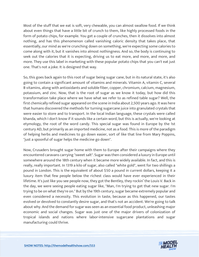Most of the stuff that we eat is soft, very chewable, you can almost swallow food. If we think about even things that have a little bit of crunch to them, like highly processed foods in the form of potato chips, for example. You get a couple of crunches, then it dissolves into almost nothing, and has this phenomenon called vanishing caloric density that takes place, that essentially, our mind as we're crunching down on something, we're expecting some calories to come along with it, but it vanishes into almost nothingness. And so, the body is continuing to seek out the calories that it is expecting, driving us to eat more, and more, and more, and more. They use this label in marketing with these popular potato chips that you can't eat just one. That's not a joke. It is designed that way.

So, this goes back again to this root of sugar being sugar cane, but in its natural state, it's also going to contain a significant amount of vitamins and minerals. Vitamin A, vitamin C, several B vitamins, along with antioxidants and soluble fiber, copper, chromium, calcium, magnesium, potassium, and zinc. Now, that is the root of sugar as we know it today, but how did this transformation take place where we have what we refer to as refined table sugar? Well, the first chemically refined sugar appeared on the scene in India about 2,500 years ago. It was here that humans discovered the methods for turning sugarcane juice into granulated crystals that were easier to store and to transport. In the local Indian language, these crystals were called khanda, which I don't know if it sounds like a certain word, but this is actually, we're looking at etymology, the root of the word candy. This special sugar was found in Europe by the 1st century AD, but primarily as an imported medicine, not as a food. This is more of the paradigm of helping herbs and medicines to go down easier, sort of like that line from Mary Poppins, "just a spoonful of sugar helps the medicine go down".

Now, Crusaders brought sugar home with them to Europe after their campaigns where they encountered caravans carrying "sweet salt". Sugar was then considered a luxury in Europe until somewhere around the 18th century when it became more widely available. In fact, and this is really, really important. In 1319 a kilo of sugar, also called "white gold", went for two shillings a pound in London. This is the equivalent of about \$50 a pound in current dollars, keeping it a luxury item that few people below the richest class would have ever experienced in their lifetime. It's just like you see people now, they got the Bentley, they rockin' the Louis V. Back in the day, we were seeing people eating sugar like, "Man, I'm trying to get that new sugar. I'm trying to be on what they're on." But by the 19th century, sugar became extremely popular and even considered a necessity. This evolution in taste, because as this happened, our tastes evolved or devolved to constantly desire sugar, and that's not an accident. We're going to talk about why. And the demand for sugar was seen as an essential food product, unleashing major economic and social changes. Sugar was just one of the major drivers of colonization of tropical islands and nations where labor-intensive sugarcane plantations and sugar manufacturing could thrive.

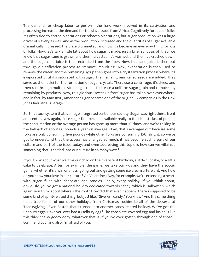The demand for cheap labor to perform the hard work involved in its cultivation and processing increased the demand for the slave trade from Africa. Cognitively for lots of folks, it's often tied to cotton plantations or tobacco plantations, but sugar production was a huge driver of slavery as well. And as the production increased and the quantities of sugar available dramatically increased, the price plummeted, and now it's become an everyday thing for lots of folks. Now, let's talk a little bit about how sugar is made, just a brief synopsis of it. So, we know that sugar cane is grown and then harvested, it's washed, and then it's crushed down, and the sugarcane juice is then extracted from the fiber. Now, this cane juice is then put through a clarification process to "remove impurities". Now, evaporation is then used to remove the water, and the remaining syrup then goes into a crystallization process where it's evaporated until it's saturated with sugar. Then, small grains called seeds are added. They serve as the nuclei for the formation of sugar crystals. Then, use a centrifuge, it's dried, and then ran through multiple straining screens to create a uniform sugar grain and remove any remaining by-products. Now, this glorious, sweet uniform sugar has taken over everywhere, and in fact, by May 1896, American Sugar became one of the original 12 companies in the Dow Jones Industrial Average.

So, this stock system that is a huge integrated part of our society. Sugar was right there, front and center. Now again, since sugar first became available really to the richest class of people, the consumption or the average person has gone up more than 10 times, and we're talking in the ballpark of about 80 pounds a year on average. Now, that's averaged out because some folks are only consuming five pounds while other folks are consuming 150, alright, so we've got to understand that the access has changed so much, it has become such a part of our culture and part of the issue today, and even addressing this topic is how can we villainize something that is so tied into our culture in so many ways?

If you think about what we give our child on their very first birthday, a little cupcake, or a little cake to celebrate. After, for example, the game, we take our kids and they have the soccer game, whether it's a win or a loss, going out and getting some ice cream afterward. And how do you show your love in our culture? On Valentine's Day, for example, we're extending a heart, with sugar, filled with chocolate and candies. Really, every holiday, if you think about, obviously, you've got a national holiday dedicated towards candy, which is Halloween, which again, you think about where's the root? How did that even happen? There's supposed to be some kind of spirit-related thing, but just like, "Give 'em candy." You know? And the same thing holds true for all of our other holidays, from Christmas cookies to all of the desserts at Thanksgiving... Even Easter, that's turned into another candy-related holiday. We've got the Cadbury eggs. Have you ever had a Cadbury egg? The chocolate-covered egg and inside is like this thick chalky gooey-ooey, whatever that is. If you've ever gotten through one of those, I commend you, and also, I'm afraid of you.

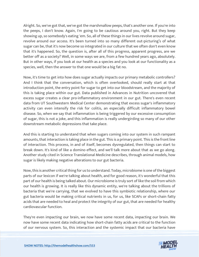Alright. So, we've got that, we've got the marshmallow peeps, that's another one. If you're into the peeps, I don't know. Again, I'm going to be cautious around you, right. But they keep showing up, so somebody's eating 'em. So, all of these things in our lives revolve around sugar, revolve around our access. It's been turned into so many different out-picturing's of what sugar can be, that it's now become so integrated in our culture that we often don't even know that it's happened. So, the question is, after all of this progress, apparent progress, are we better off as a society? Well, in some ways we are, from a few hundred years ago, absolutely. But in other ways, if you look at our health as a species and you look at our functionality as a species, well, then the answer to that one would be a big fat no.

Now, it's time to get into how does sugar actually impacts our primary metabolic controllers? And I think that the conversation, which is often overlooked, should really start at that introduction point, the entry point for sugar to get into our bloodstream, and the majority of this is taking place within our gut. Data published in Advances in Nutrition uncovered that excess sugar creates a clear pro-inflammatory environment in our gut. There's even recent data from UT Southwestern Medical Center demonstrating that excess sugar's inflammatory activity can even intensify the risk for colitis, an especially difficult inflammatory bowel disease. So, when we say that inflammation is being triggered by our excessive consumption of sugar, this is not a joke, and this inflammation is really undergirding so many of our other downstream metabolic depressions that take place.

And this is starting to understand that when sugars coming into our system in such rampant amounts, that interaction is taking place in the gut. This is a primary point. This is the front line of interaction. This process, in and of itself, becomes dysregulated, then things can start to break down. It's kind of like a domino effect, and we'll talk more about that as we go along. Another study cited in Science Translational Medicine describes, through animal models, how sugar is likely making negative alterations to our gut bacteria.

Now, this is another critical thing for us to understand. Today, microbiome is one of the biggest parts of our lexicon if we're talking about health, and for good reason, it's wonderful that this part of our health is being talked about. Our microbiome is truly sort of like the soil from which our health is growing. It is really like this dynamic entity, we're talking about the trillions of bacteria that we're carrying, that we evolved to have this symbiotic relationship, where our gut bacteria would be making critical nutrients in us, for us, like SCAFs or short-chain fatty acids that are needed to heal and protect the integrity of our gut, that are needed for healthy cardiovascular function.

They're even impacting our brain, we now have some recent data, impacting our brain. We now have some recent data indicating how short-chain fatty acids are critical to the function of our nervous system. So, this interaction and the systemic impact that our bacteria have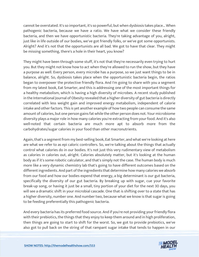cannot be overstated. It's so important, it's so powerful, but when dysbiosis takes place... When pathogenic bacteria, because we have a ratio. We have what we consider these friendly bacteria, and then we have opportunistic bacteria. They're taking advantage of you, alright, just like in life outside of our bodies, we've got friendly folks, or we've got some opportunists. Alright? And it's not that the opportunists are all bad. We got to have that clear. They might be missing something, there's a hole in their heart, you know?

They might have been through some stuff, it's not that they're necessarily even trying to hurt you. But they might not know how to act when they're allowed to run the show, but they have a purpose as well. Every person, every microbe has a purpose, so we just want things to be in balance, alright. So, dysbiosis takes place when the opportunistic bacteria begin, the ratios began to overpower the protective friendly flora. And I'm going to share with you a segment from my latest book, Eat Smarter, and this is addressing one of the most important things for a healthy metabolism, which is having a high diversity of microbes. A recent study published in the International Journal of Obesity revealed that a higher diversity of gut bacteria is directly correlated with less weight gain and improved energy metabolism, independent of calorie intake and other factors. This is yet another example of how two people can consume the same amount of calories, but one person gains fat while the other person does not. Your microbiome diversity plays a major role in how many calories you're extracting from your food. And it's also well-noted that certain bacteria are much more apt to absorb more from the carbohydrates/sugar calories in your food than other macronutrients.

Again, that's a segment from my best-selling book, Eat Smarter, and what we're looking at here are what we refer to as epi caloric controllers. So, we're talking about the things that actually control what calories do in our bodies. It's not just this very rudimentary view of metabolism as calories in calories out, alright. Calories absolutely matter, but it's looking at the human body as if it's some robotic calculator, and that's simply not the case. The human body is much more like a very dynamic chemistry lab that's going to have different outcomes based on the different ingredients. And part of the ingredients that determine how many calories we absorb from our food and how our bodies expend that energy, a big determinant is our gut bacteria, specifically the diversity of our gut bacteria. By breaking up with sugar, cue your favorite break-up song, or having it just be a small, tiny portion of your diet for the next 30 days, you will see a dramatic shift in your microbial cascade. One that is shifting over to a state that has a higher diversity, number one. And number two, because what we know is that sugar is going to be feeding preferentially this pathogenic bacteria.

And every bacteria has its preferred food source. And if you're not providing your friendly flora with their prebiotics, the things that they enjoy to keep them around and in high proliferation, then things are going to start to shift for the worst. So, we got to provide prebiotics, we've also got to pull back on the string of that rampant sugar intake that tends to happen in our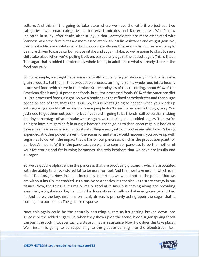culture. And this shift is going to take place where we have the ratio if we just use two categories, two broad categories of bacteria firmicutes and Bacteroidetes. What's now indicated in study, after study, after study, is that Bacteroidetes are more associated with leanness, while the firmicutes are more associated with insulin resistance and weight gain. No, this is not a black and white issue, but we consistently see this. And so firmicutes are going to be more driven towards carbohydrate intake and sugar intake, so we're going to start to see a shift take place when we're pulling back on, particularly again, the added sugar. This is that... The sugar that is added to potentially whole foods, in addition to what's already there in the food naturally.

So, for example, we might have some naturally occurring sugar obviously in fruit or in some grain products. But then in that production process, turning it from a whole food into a heavily processed food, which here in the United States today, as of this recording, about 60% of the American diet is not just processed foods, but ultra-processed foods. 60% of the American diet is ultra-processed foods, alright. So, we already have the refined carbohydrates and then sugar added on top of that, that's the issue. So, this is what's going to happen when you break up with sugar, you could still be friends. Some people don't need to be friends though, okay. You just need to get them out your life, but if you're still going to be friends, still be cordial, making it a tiny percentage of your intake where again, we're talking about added sugars. Then we're going to have a mighty shift in our gut bacteria, that's going to then encourage our bodies to have a healthier association, in how it's shuttling energy into our bodies and also how it's being expended. Another power player in the scenario, and what would happen if you broke up with sugar has to do with the impact that it has on our pancreas, which is the production point for our body's insulin. Within the pancreas, you want to consider pancreas to be the mother of your fat storing and fat burning hormones, the twin brothers that we have are insulin and glucagon.

So, we've got the alpha cells in the pancreas that are producing glucagon, which is associated with the ability to unlock stored fat to be used for fuel. And then we have insulin, which is all about fat storage. Now, insulin is incredibly important, we would not be the people that we are without insulin. It's enabled us to survive as a species, it's enabled us to store energy in our tissues. Now, the thing is, it's really, really good at it. Insulin is coming along and providing essentially a big skeleton key to unlock the doors of our fat cells so that energy can get shuttled in. And here's the key, insulin is primarily driven, is primarily acting upon the sugar that is coming into our bodies. The glucose response.

Now, this again could be the naturally occurring sugars as it's getting broken down into glucose or the added sugars. So, when they show up on the scene, blood sugar spiking foods can push the body into, eventually, a state of insulin resistance. Now, how does this take place? Well, insulin is going to be responding to the glucose coming into the bloodstream to...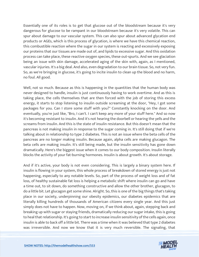Essentially one of its roles is to get that glucose out of the bloodstream because it's very dangerous for glucose to be rampant in our bloodstream because it's very volatile. This can spur about damage to our vascular system. This can also spur about advanced glycation end products or AGEs, which is this process of glycation, is where we have this chemical reaction, this combustible reaction where the sugar in our system is reacting and excessively exposing our proteins that our tissues are made out of, and lipids to excessive sugar. And this oxidation process can take place, these reactive oxygen species, these out-spurts. And we see glaciation being an issue with skin damage, accelerated aging of the skin with, again, as I mentioned, vascular injuries. It's a big deal. And also, even degradation to our brain tissue. So, not very fun. So, as we're bringing in glucose, it's going to incite insulin to clean up the blood and no harm, no foul. All good.

Well, not so much. Because as this is happening in the quantities that the human body was never designed to handle, insulin is just continuously having to work overtime. And as this is taking place, the cells themselves that are then forced with the job of storing this excess energy, it starts to stop listening to insulin outside screaming at the door, "Hey, I got some packages for you. Can I store some stuff with you?" Constantly knocking on the door. And eventually, you're just like, "Bro, I can't. I can't keep any more of your stuff here." And so now it's becoming resistant to insulin. And it's not hearing the doorbell or hearing the yells and the screams from insulin. And this is the state of insulin resistance. But this doesn't mean that the pancreas is not making insulin in response to the sugar coming in. It's still doing that if we're talking about in relationship to type 2 diabetes. This is not an issue where the beta cells of the pancreas are no longer making insulin. Because again, alpha cells are making glucagon. The beta cells are making insulin. It's still being made, but the insulin sensitivity has gone down dramatically. Here's the biggest issue when it comes to our body composition. Insulin literally blocks the activity of your fat-burning hormones. Insulin is about growth. It's about storage.

And if it's active, your body is not even considering. This is largely a binary system here. If insulin is flowing in your system, this whole process of breakdown of stored energy is just not happening, especially to any notable levels. So, part of the process of weight loss and of fat loss, of healthy sustainable fat loss is helping a metabolic shift where insulin can go and have a time out, to sit down, do something constructive and allow the other brother, glucagon, to do a little bit. Let glucagon get some shine. Alright. So, this is one of the big things that's taking place in our society, underpinning our obesity epidemics, our diabetes epidemics that are literally killing hundreds of thousands of American citizens every single year. And this just simply does not have to happen. Now, moving on, if we think about, again, stepping back and breaking up with sugar or staying friends, dramatically reducing our sugar intake, this is going to heal that relationship. It's going to start to increase insulin sensitivity of the cells again, once insulin is able to back off a little bit. There was a time when it was believed that type 2 diabetes was irreversible. And now we know that it is very much reversible. The signaling, that

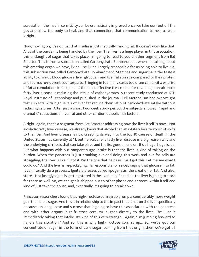association, the insulin sensitivity can be dramatically improved once we take our foot off the gas and allow the body to heal, and that connection, that communication to heal as well. Alright.

Now, moving on, it's not just that insulin is just magically making fat. It doesn't work like that. A lot of the burden is being handled by the liver. The liver is a huge player in this association, this onslaught of sugar that takes place. I'm going to read to you another segment from Eat Smarter. This is from a subsection called Carbohydrate Bombardment when I'm talking about this amazing organ we have, liv-er. The liv-er. Largely responsible for us being able to live. So, this subsection was called Carbohydrate Bombardment. Starches and sugar have the fastest ability to drive up blood glucose, liver glycogen, and liver fat storage compared to their protein and fat macro-nutrient counterparts. Bringing in too many carbs too often can elicit a wildfire of fat accumulation. In fact, one of the most effective treatments for reversing non-alcoholic fatty liver disease is reducing the intake of carbohydrates. A recent study conducted at KTH Royal Institute of Technology and published in the journal; Cell Metabolism had overweight test subjects with high levels of liver fat reduce their ratio of carbohydrate intake without reducing calories. After just a short two-week study period, the subjects showed, "rapid and dramatic" reductions of liver fat and other cardiometabolic risk factors.

Alright, again, that's a segment from Eat Smarter addressing how the liver itself is now... Not alcoholic fatty liver disease, we already know that alcohol can absolutely be a terrorist of sorts to the liver. And liver disease is now creeping its way into the top 10 causes of death in the United States. It's currently at 11, but non-alcoholic fatty liver disease is a big reason why and the underlying cirrhosis that can take place and the list goes on and on. It's a huge, huge issue. But what happens with our rampant sugar intake is that the liver is kind of taking on the burden. When the pancreas is just cranking out and doing this work and our fat cells are struggling, the liver is like, "I got it. I'm the one that helps us live. I got this. Let me see what I could do." And the liver is re-packaging... Is responsible for re-packaging that glucose into fat. It can literally do a process... Ignite a process called lipogenesis, the creation of fat. And also, store... Not just glycogen is getting stored in the liver, but, if need be, the liver is going to store fat there as well. So, we can get it shipped out to other places and-or store within itself and kind of just take the abuse, and, eventually, it's going to break down.

Princeton researchers found that high-fructose corn syrup prompts considerably more weight gain than table sugar. And this is in relationship to the impact that it has on the liver specifically because, unlike glucose and sucrose that is going to have this association with the pancreas and with other organs, high-fructose corn syrup goes directly to the liver. The liver is immediately taking that intake. It's kind of this very strange... Again, "I'm jumping forward to handle this situation." And so, this is why high-fructose corn syrup... So, we've got our concentrate of sugar in the form of cane sugar, coming from that origin, then we've got all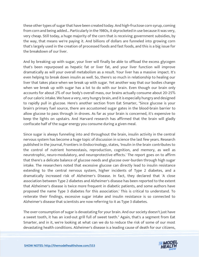these other types of sugar that have been created today. And high-fructose corn syrup, coming from corn and being added... Particularly in the 1980s, it skyrocketed in use because it was very, very cheap. Still today, a huge majority of the corn that is receiving government subsidies, by the way, that means we're paying it. And billions of dollars are funneled into growing corn that's largely used in the creation of processed foods and fast foods, and this is a big issue for the breakdown of our liver.

And by breaking up with sugar, your liver will finally be able to offload the excess glycogen that's been repurposed as hepatic fat or liver fat, and your liver function will improve dramatically as will your overall metabolism as a result. Your liver has a massive impact. It's even helping to break down insulin as well. So, there's so much in relationship to healing our liver that takes place when we break up with sugar. Yet another way that our bodies change when we break up with sugar has a lot to do with our brain. Even though our brain only accounts for about 2% of our body's overall mass, our brains actually consume about 20-25% of our caloric intake. We have a very, very hungry brain, and it is especially hungry and designed to rapidly pull in glucose. Here's another section from Eat Smarter, "Since glucose is your brain's primary fuel source, there are accustomed sugar gates in the blood-brain barrier to allow glucose to pass through in droves. As far as your brain is concerned, it's expensive to keep the lights on upstairs. And Harvard research has affirmed that the brain will gladly confiscate half of the sugar energy you consume during a given meal.

Since sugar is always funneling into and throughout the brain, insulin activity in the central nervous system has become a huge topic of discussion in science the last few years. Research published in the journal, Frontiers in Endocrinology, states, 'Insulin in the brain contributes to the control of nutrient homeostasis, reproduction, cognition, and memory, as well as neurotrophic, neuro-modulatory, and neuroprotective effects.' The report goes on to affirm that there's a delicate balance of glucose needs and glucose over-burden through high sugar intake. The researchers noted that excessive glucose can directly lead to insulin resistance extending to the central nervous system, higher incidents of Type 2 diabetes, and a dramatically increased risk of Alzheimer's Disease. In fact, they declared that 'A close association between Type 2 diabetes and Alzheimer's disease has been reported to the extent that Alzheimer's disease is twice more frequent in diabetic patients, and some authors have proposed the name Type 3 diabetes for this association.' This is critical to understand. To reiterate their findings, excessive sugar intake and insulin resistance is so connected to Alzheimer's disease that scientists are now referring to it as Type 3 diabetes.

The over-consumption of sugar is devastating for your brain. And our society doesn't just have a sweet tooth, it has an iced-out grill full of sweet teeth." Again, that's a segment from Eat Smarter, and in it, we're looking at what can we do to reduce the risk of some of our most devastating health conditions. Alzheimer's disease is a leading cause of death for our citizens,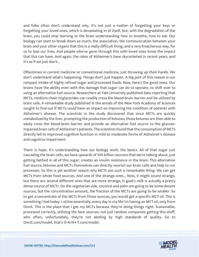and folks often don't understand why. It's not just a matter of forgetting your keys or forgetting your loved ones, which is devastating in of itself, but, with the degradation of the brain, you could stop learning or the brain understanding how to breathe, how to eat. Our biology can start to break down so much, the association, the communication between your brain and your other organs that this is a really difficult thing, and a very treacherous way, for us to lose our lives. And people who've gone through this with loved ones know the impact that this can have. And again, the rates of Alzheimer's have skyrocketed in recent years, and it's as if we just don't...

Oftentimes in current medicine or conventional medicine, just throwing up their hands. We don't understand what's happening. Things don't just happen. A big part of this reason is our rampant intake of highly refined sugar and processed foods. Now, here's the good news. Our brains have the ability even with this damage that sugar can do to operate, to shift over to using an alternative fuel source. Researchers at Yale University published data reporting that MCTs, medium-chain triglycerides can readily cross the blood-brain barrier and be utilized by brain cells. A remarkable study published in the annals of the New York Academy of Sciences sought to find out if MCTs could have an impact on improving the condition of patients with Alzheimer's disease. The scientists in the study discovered that since MCTs are quickly metabolized by the liver, prompting the production of ketones, those ketones are then able to easily cross the blood-brain barrier and provide an alternative fuel source to the glucoseimpaired brain cells of Alzheimer's patients. The scientists found that the consumption of MCTs directly led to improved cognitive function in mild to moderate forms of Alzheimer's disease and cognitive impairment.

There is hope. It's understanding how our biology work, the basics. All of that sugar just cascading the brain cells, we have upwards of 100 billion neurons that we're talking about, just getting bathed in all of this sugar, creates an insulin resistance in the brain. This alternative fuel source, ketones and MCTs themselves can directly nourish our brain cells and help to run processes. So this is yet another reason why MCTs are such a remarkable thing. We can get MCTs from whole food sources. And one of the strange ones... Now, it might sound strange, but there are several different ones that are more strange, is goat's milk is actually a pretty dense source of MCTs. On the vegetarian side, coconut and palm are going to be some decent sources, but the concentration amount, the fraction of the MCTs are going to be smaller. So to get a concentrate of the MCTs from those sources, you would get a specific MCT oil. This is something I had today. I utilize essentially, every day in my life I'm having an MCT oil, only from Onnit. This is the place that I get my MCTs because they're doing things right. Sustainable, processed correctly, utilizing the best sources, not just random companies getting this stuff, who often, unfortunately, they're not abiding by high standards of quality. Go to Onnit.com/model, that's O-N-N-I-T.com/model.

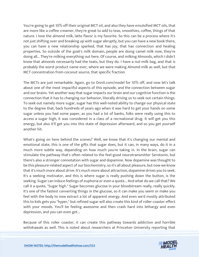You're going to get 10% off their original MCT oil, and also they have emulsified MCT oils, that are more like a coffee creamer, they're great to add to teas, smoothies, coffee, things of that nature. I love the almond milk, latte flavor is my favorite. So this can be a process where it's not just shifting over and breaking up with sugar abruptly, but you can have a new book there, you can have a new relationship sparked, that has joy, that has connection and healing properties. So outside of the goat's milk domain, people are doing camel milk now, they're doing all... They're milking everything out here. Of course, and milking Almonds, which I didn't know that almonds necessarily had the teats, but they do. I have a nut-milk bag, and that is probably the worst product name ever, where we were making Almond milk as well, but that MCT concentration from coconut source, that specific fraction.

The MCTs are just remarkable. Again, go to Onnit.com/model for 10% off, and now let's talk about one of the most impactful aspects of this episode, and the connection between sugar and our brains. Yet another way that sugar impacts our brain and our cognitive function is the connection that it has to changing our behavior, literally driving us to seek out certain things. To seek out namely more sugar, sugar has this well-noted ability to change our physical state to the degree that, back hundreds of years ago when it was hard to get your hands on some sugar unless you had some paper, as you had a lot of banks, folks were really using this to access a sugar high, it was considered in a class of a recreational drug. It will get you this energy, but also it'll get you into this state of depression afterward, and so you get yourself another hit.

What's going on here behind the scenes? Well, we know that it's changing our mental and emotional state, this is one of the gifts that sugar does, but it can, in many ways, do it in a much more subtle way, depending on how much you're taking in. In the brain, sugar can stimulate the pathway that's often related to the feel-good neurotransmitter Serotonin, but there's also a stronger connotation with sugar and dopamine. Now dopamine was thought to be this pleasure-related aspect of our biochemistry, so it's all about pleasure, but now we know that it's much more about drive. It's much more about attraction, dopamine drives you to seek. It's a seeking motivator, and this is where sugar is really pushing down the button, is the seeking. Sugar can induce feelings of euphoria or even a quote... And what do we call that? We call it a quote, "Sugar high." Sugar becomes glucose in your bloodstream really, really quickly. It's one of the fastest converting things in the glucose, so it can make you seem or make you feel with the body to now extract a lot of apparent energy. And even we'd mostly attributed this to kids gets you "hyper," but refined sugar will also create this kind of roller coaster effect with your moods. You'll be feeling awesome and then crash hard into lethargy and even depression, and you can even get...

Because of this roller coaster, it can create this pathway towards addiction and horrible withdrawals as well. This is noted about researchers at Princeton University reporting that

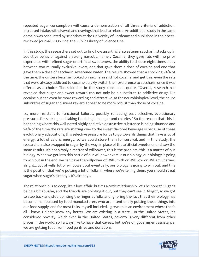repeated sugar consumption will cause a demonstration of all three criteria of addiction, increased intake, withdrawal, and cravings that lead to relapse. An additional study in the same domain was conducted by scientists at the University of Bordeaux and published in their peerreviewed journal, PLOS One, the Public Library of Science One.

In this study, the researchers set out to find how an artificial sweetener saccharin stacks up in addictive behavior against a strong narcotic, namely Cocaine, they gave rats with no prior experience with refined sugar or artificial sweeteners, the ability to choose eight times a day between two mutually exclusive levers, one that gave them a dose of cocaine and one that gave them a dose of saccharin sweetened water. The results showed that a shocking 94% of the time, the critters became hooked on saccharin and not cocaine, and get this, even the rats that were already addicted to cocaine quickly switch their preference to saccharin once it was offered as a choice. The scientists in the study concluded, quote, "Overall, research has revealed that sugar and sweet reward can not only be a substitute to addictive drugs like cocaine but can even be more rewarding and attractive, at the neurobiological level, the neuro substrates of sugar and sweet reward appear to be more robust than those of cocaine.

I.e, more resistant to functional failures, possibly reflecting past selective, evolutionary pressures for seeking and taking foods high in sugar and calories." So the reason that this is happening where this well-noted highly addictive destructive substance is being shunned and 94% of the time the rats are shifting over to the sweet flavored beverage is because of these evolutionary adaptations, this selective pressure for us to go towards things that have a lot of energy, a lot of caloric energy, so we could store them for survival, and in this study, the researchers also swapped in sugar by the way, in place of the artificial sweetener and saw the same results. It's not simply a matter of willpower, this is the problem, this is a matter of our biology. When we get into this battle of our willpower versus our biology, our biology is going to win out in the end, we can have the willpower of Will Smith or Will Low or William Shatner, alright... Lot of wills, lot of willpower, but eventually, our biology is going to win out, and this is the position that we're putting a lot of folks in, where we're telling them, you shouldn't eat sugar when sugar's already... It's already...

The relationship is so deep, it's a love affair, but it's a toxic relationship, let's be honest. Sugar's being a bit abusive, and the friends are pointing it out, but they can't see it. Alright, so we got to step back and stop pointing the finger at folks and ignoring the fact that their biology has become manipulated by food manufacturers who are intentionally putting these things into our food supply, and for most folks, myself included. I grew up in an environment where that's all I knew; I didn't know any better. We are existing in a state... In the United States, it's considered poverty, which even in the United States, poverty is very different from other places in the world, so I always like to have that caveat, but we're on government assistance, we are getting food from food pantries and donations.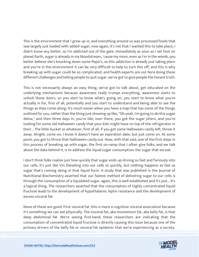This is the environment that I grew up in, and everything around us was processed foods that was largely just loaded with added sugar, now again, it's not that I wanted this to take place, I didn't know any better, so I'm addicted out of the gate. Immediately as soon as I set foot on planet Earth, sugar is already in my bloodstream, 'cause my mom, even as I'm in the womb, you better believe she's knocking down some Pepsi's, so this addiction is already just taking place and you're in the environment it can be very difficult to help to turn this off, and this is why breaking up with sugar could be so complicated, and health experts are out here doing these different challenges and telling people to quit sugar, we've got to give people the honest truth.

This is not necessarily always an easy thing, we've got to talk about, get educated on the underlying mechanisms because awareness really trumps everything, awareness starts to unlock those doors, so you start to know what's going on, you start to know what you're actually in for, first of all, potentially and you start to understand and being able to see the things as they come along. It's much easier when you have a map that has some of the things outlined for you, rather than the thing just showing up like, "Oh yeah, I'm going to do this sugar detox," and then three days in, you're like, over there, you got the sugar jitters, and you're looking for some old Halloween candy that your kids might have on top of the refrigerator in their... The little bucket or whatever, first of all, if you got some Halloween candy left, throw it away. Alright, come on, I know it doesn't have an expiration date, but just come on. At some point, you got to throw that Halloween candy out. Now, with that said, one of the first steps in this process of breaking up with sugar, the first on-ramp that I often give folks, and we talk about the data behind it, is to address the liquid sugar consumption, the sugar that we eat.

I don't think folks realize just how quickly that sugar ends up driving so fast and furiously into our cells, it's just like Vin Dieseling into our cells so quickly, but nothing happens as fast as sugar that's coming along in that liquid form. A study that was published in the Journal of Nutritional Biochemistry asserted that our fastest method of delivering sugar to our cells is through the consumption of a liquidated sugar, again, this is well established and it's just... It's a logical thing. The researchers asserted that the consumption of highly concentrated liquid fructose leads to the development of hypothalamic leptin resistance and the development of excess visceral fat.

None of these are good. First visceral fat, this is more a cognitive visceral association because it's something we can see physically. The visceral fat, aka momentum fat, aka belly fat, is that deep abdominal fat. We're seeing first-hand, these researchers are indicating that the consumption of concentrated liquid fructose is directly causing this issue because one of the primary drivers of the belly fat or visceral fat epidemic that we're experiencing as a society.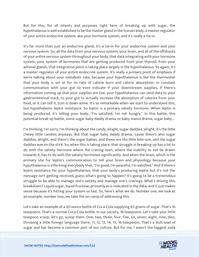But for this, for all intents and purposes right here of breaking up with sugar, the hypothalamus is well established to be the master gland in the human body, a master regulator of your entire endocrine system, aka your hormone system, and it's really a tie-in.

It's far more than just an endocrine gland, it's a tie-in for your endocrine system and your nervous system. So, all the data from your nervous system, your brain, and all of the offshoots of your entire nervous system throughout your body, that data integrating with your hormone system, your system of hormones that are getting produced from your thyroid, from your adrenal glands, that integration point is taking place largely in the hypothalamus. So again, it's a master regulator of your entire endocrine system. It's really a primary point of emphasis if we're talking about your metabolic rate, because your hypothalamus is like the thermostat that your body is set at for its rate of calorie burn and calorie absorption, in constant communication with your gut to even indicate if your downstream supplies, if there's information coming up that your supplies are low, your hypothalamus can send data to your gastrointestinal track, to your gut to actually increase the absorption of calories from your food, or it can tell it, turn it down some. It's so remarkable when we start to understand this, but hypothalamic leptin resistance. So leptin is a primary satiety hormone. When leptin is being produced, it's telling your body, "I'm satisfied, I'm not hungry." In this battle, this potential break-up battle, some sugar baby daddy drama, or baby mama drama, sugar baby...

I'm thinking, I'm sorry, I'm thinking about the candy, alright, sugar daddies, alright, it's the little chewy little candies anyways. But that sugar baby daddy drama, 'cause there's also sugar daddies, alright, and there's the sugar babies, and those are the little bite-size, and the sugar daddies was on the stick. So, when this is taking place, that struggle in breaking up has a lot to do with the satiety hormone where the craving start, where the inability to not be drawn towards it, has to do with the satiety hormones significantly. And when the brain, which is the primary site for leptin's communication to tell your brain and physiology because your hypothalamus is informing everybody that, "I'm good, I'm peaceful, I'm satisfied." And if there's leptin resistance for your hypothalamus, that your body's producing leptin but it's not the message isn't getting received, guess what's going to happen? It's going to be a tremendous struggle to be able to manage one's satiety and manage one's cravings. What's driving this breakdown? Liquid sugar, liquid fructose, primarily as is indicated in the data, and it just makes sense because it's hitting your system so fast. So, here's what we do. Number one, we look at an example, number two, we take the on-ramp of addressing this.

Let's take an example of a 20-ounce bottle of Coca-Cola supplying 65 grams of sugar. That's 16 teaspoons. That's a normal Coca-Cola bottle. In our society, 16 teaspoons. Let's take your little teaspoon scoop, let's go, scoop them. One, two, three, four, five, six, seven, eight, nine, diez, throwing a little foreign language there, 11, 12, 13, 14, 15, 16 teaspoons. That's a butt-load of sugar and has become a common part of our culture. But for me, I wasn't the biggest soda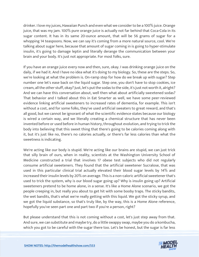drinker. I love my juices, Hawaiian Punch and even what we consider to be a 100% juice. Orange juice, that was my jam. 100% pure orange juice is actually not far behind that Coca-Cola in its sugar content. It has in its same 20-ounce amount, that will be 56 grams of sugar for a whopping 14 teaspoons. Now, we can say it's coming from a more natural source, cool. We're talking about sugar here, because that amount of sugar coming in is going to hyper-stimulate insulin, it's going to damage leptin and literally derange the communication between your brain and your body. It's just not appropriate. For most folks, sure.

If you have an orange juice every now and then, sure, okay. I was drinking orange juice on the daily, if we had it. And I have no idea what it's doing to my biology. So, these are the steps. So, we're looking at what the problem is. On-ramp step for how do we break up with sugar? Step number one let's ease back on the liquid sugar. Step one, you don't have to stop cookies, ice cream, all the other stuff, okay? Just, let's put the sodas to the side, it's just not worth it, alright? And we can have this conversation about, well then what about artificially sweetened sodas? That behavior and I talked about this in Eat Smarter as well, we have some peer-reviewed evidence linking artificial sweeteners to increased rates of dementia, for example. This isn't without a cost, and for some folks, they've used artificial sweaters to great reward, and that's all good, but we cannot be ignorant of what the scientific evidence states because our biology is wired a certain way, and we literally creating a chemical structure that has never been invented before or used before in human history, throughout evolution, and trying to trick the body into believing that this sweet thing that there's going to be calories coming along with it, but it's just like no, there's no calories actually, or there's far less calories than what the sweetness is indicating.

We're acting like our body is stupid. We're acting like our brains are stupid, we can just trick that silly brain of ours, when in reality, scientists at the Washington University School of Medicine constructed a trial that involves 17 obese test subjects who did not regularly consume artificial sweeteners. They found that the artificial sweetener Sucralose, that was used in this particular clinical trial actually elevated their blood sugar levels by 14% and increased their insulin levels by 20% on average. This is a non-caloric artificial sweetener that's used to trick the system, why is our blood sugar going up? Why is insulin going up? Artificial sweeteners pretend to be home alone, in a sense. It's like a Home Alone scenario, we got the people creeping in, but really you about to get hit with some booby traps. The sticky bandits, the wet bandits, that's what we're really getting with this liquid. We got the sticky syrup, and we got the liquid substance, so that's truly like, by the way, this is a Home Alone reference, hopefully you've seen part one and part two if you're a person, right?

But please understand that this is not coming without a cost, let's just step away from that. And sure, we can substitute and maybe try, do a little swappy swap, maybe you do a kombucha, which you got to be careful with the sugar there too. Let's be honest, but the sugar is far less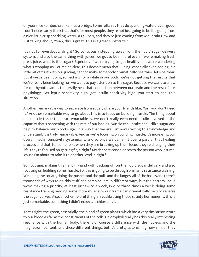on your nice kombucha or kefir as a bridge. Some folks say they do sparkling water, it's all good. I don't necessarily think that that's for most people, they're not just going to be like going from a nice little crisp sparkling water, a La Croix, and they're just coming from Mountain Dew and just talking about, "Yeah, this is great! This is a great substitute."

It's not for everybody, alright? So consciously stepping away from the liquid sugar delivery system, and also the same thing with juices, we got to be mindful even if we're making fresh press juice, what is the sugar? Especially if we're trying to get healthy and we're wondering what's stopping us. Let me be clear, this doesn't mean that juicing, especially even adding in a little bit of fruit with our juicing, cannot make somebody dramatically healthier, let's be clear. But if we've been doing something for a while in our body, we're not getting the results that we've really been looking for, we want to pay attention to the sugar. Because we want to allow for our hypothalamus to literally heal that connection between our brain and the rest of our physiology. Get leptin sensitivity high, get insulin sensitivity high, you start to heal this situation.

Another remarkable way to separate from sugar, where your friends like, "Girl, you don't need it." Another remarkable way to go about this is to focus on building muscle. The thing about our muscle tissue that's so remarkable is, we don't really even need insulin involved in the capacity that's happening with the rest of our bodies. Muscle can uptake and utilize sugar and help to balance our blood sugar in a way that we are just now starting to acknowledge and understand. It is truly remarkable. And as we're focusing on building muscle, it's increasing our overall insulin sensitivity systemically, and so once we can shift over a part of that healing process and that, for some folks when they are breaking up their focus, they're changing their life, they're focused on getting fit, alright? My deepest condolences to the person who lost me, 'cause I'm about to take it to another level, alright?

So, focusing, making this hand-in-hand with backing off on the liquid sugar delivery and also focusing on building some muscle. So, this is going to be through primarily resistance training. We doing the squats, doing the pushes and the pulls and the lunges, all of the basics and there's thousands of ways to do this stuff and combine 'em in different ways, but the bottom line is we're making a priority, at least just twice a week, two to three times a week, doing some resistance training. Adding some more muscle to our frame can dramatically help to reverse the sugar curves. Also, another helpful thing in recalibrating those satiety hormones is, this is just remarkable, something I didn't expect, is chlorophyll.

That's right, the green, essentially, the blood of green plants, which has a very similar structure to our blood as far as the constituents of the cells. Chlorophyll really has this really interesting resonance with the human body, there is of course a difference with the nucleus and the magnesium content, and these different things, but it's pretty astonishing how similar they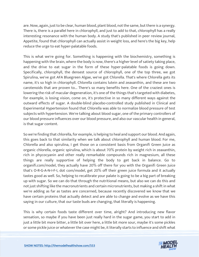are. Now, again, just to be clear, human blood, plant blood, not the same, but there is a synergy. There is, there is a parallel here in chlorophyll, and just to add to that, chlorophyll has a really interesting resonance with the human body. A study that's published in peer review journal, Appetite, found that chlorophyll can actually assist in weight loss, and here's the big key, help reduce the urge to eat hyper-palatable foods.

This is what we're going for. Something is happening with the biochemistry, something is happening with the brain, where the body is now, there's a higher level of satiety taking place, and the drive to eat sugar in the form of these hyper-palatable foods is going down. Specifically, chlorophyll, the densest source of chlorophyll, one of the top three, we got Spirulina, we've got AFA Bluegreen Algae, we've got Chlorella. That's where Chlorella gets its name, it's so high in chlorophyll. Chlorella contains lutein and zeaxanthin, and these are two carotenoids that are proven to... There's so many benefits here. One of the craziest ones is lowering the risk of macular degeneration, it's one of the things that's targeted with diabetes, for example, is losing vision, come on, it's protective in so many different ways against the outward effects of sugar. A double-blind placebo-controlled study published in Clinical and Experimental Hypertension found that Chlorella was able to normalize blood pressure of test subjects with hypertension. We're talking about blood sugar, one of the primary controllers of our blood pressure influences over our blood pressure, and also our vascular health in general, is that sugar content.

So we're finding that chlorella, for example, is helping to heal and support our blood. And again, this goes back to that similarity when we talk about chlorophyll and human blood. For me, Chlorella and also spirulina, I get those on a consistent basis from Organifi Green Juice as organic chlorella, organic spirulina, which is about 70% protein by weight rich in zeaxanthin, rich in phycocyanin and other really remarkable compounds rich in magnesium, all these things are really supportive of helping the body to get back in balance. Go to organifi.com/model, they actually have 20% off there for you with the Organifi Green Juice that's O-R-G-A-N-I-F-I, dot com/model, get 20% off their green juice formula and it actually tastes good as well. So, helping to recalibrate your palate is going to be a big part of breaking up with sugar. So we can do that through the nutritional means, but also we can do this and not just shifting like the macronutrients and certain micronutrients, but making a shift in what we're adding as far as tastes are concerned, because recently discovered we know that we have certain proteins that actually detect and are able to change and evolve as we have this saying in our culture, that our taste buds are changing, that literally is happening.

This is why certain foods taste different over time, alright? And introducing new flavor sensation, so maybe if you have been just really hard in the sugar game, you start to add in just a little bit more bitter, a little bit over here, a little bit more sour, maybe it's some pickles or some pickle juice or whatever the case might be, it literally starts to influence and shift what